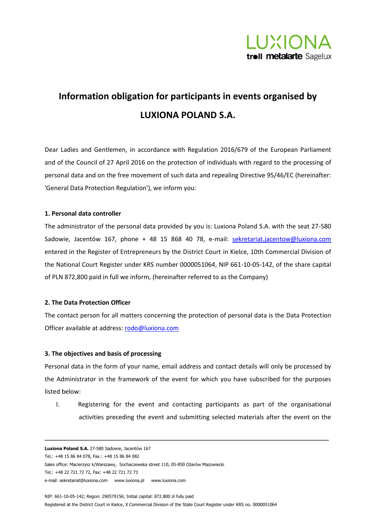

# **Information obligation for participants in events organised by LUXIONA POLAND S.A.**

Dear Ladies and Gentlemen, in accordance with Regulation 2016/679 of the European Parliament and of the Council of 27 April 2016 on the protection of individuals with regard to the processing of personal data and on the free movement of such data and repealing Directive 95/46/EC (hereinafter: 'General Data Protection Regulation'), we inform you:

#### **1. Personal data controller**

The administrator of the personal data provided by you is: Luxiona Poland S.A. with the seat 27-580 Sadowie, Jacentów 167, phone + 48 15 868 40 78, e-mail: [sekretariat.jacentow@luxiona.com](mailto:sekretariat.jacentow@luxiona.com) entered in the Register of Entrepreneurs by the District Court in Kielce, 10th Commercial Division of the National Court Register under KRS number 0000051064, NIP 661-10-05-142, of the share capital of PLN 872,800 paid in full we inform, (hereinafter referred to as the Company)

# **2. The Data Protection Officer**

The contact person for all matters concerning the protection of personal data is the Data Protection Officer available at address: [rodo@luxiona.com](mailto:rodo@luxiona.com)

# **3. The objectives and basis of processing**

Personal data in the form of your name, email address and contact details will only be processed by the Administrator in the framework of the event for which you have subscribed for the purposes listed below:

I. Registering for the event and contacting participants as part of the organisational activities preceding the event and submitting selected materials after the event on the

**Luxiona Poland S.A.** 27-580 Sadowie, Jacentów 167 Tel.: +48 15 86 84 078, Fax.: +48 15 86 84 082 Sales office: Macierzysz k/Warszawy, Sochaczewska street 110, 05-850 Ożarów Mazowiecki Tel.: +48 22 721 72 72, Fax: +48 22 721 72 73 e-mail[: sekretariat@luxiona.com](mailto:sekretariat@luxiona.com) [www.luxiona.pl](http://www.luxiona.pl/) [www.luxiona.com](http://www.luxiona.com/)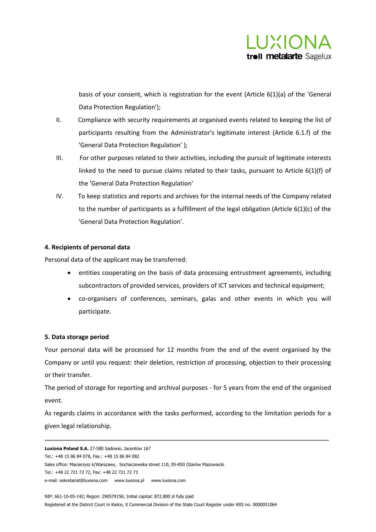

basis of your consent, which is registration for the event (Article 6(1)(a) of the 'General Data Protection Regulation');

- II. Compliance with security requirements at organised events related to keeping the list of participants resulting from the Administrator's legitimate interest (Article 6.1.f) of the 'General Data Protection Regulation' );
- III. For other purposes related to their activities, including the pursuit of legitimate interests linked to the need to pursue claims related to their tasks, pursuant to Article 6(1)(f) of the 'General Data Protection Regulation'
- IV. To keep statistics and reports and archives for the internal needs of the Company related to the number of participants as a fulfillment of the legal obligation (Article 6(1)(c) of the 'General Data Protection Regulation'.

# **4. Recipients of personal data**

Personal data of the applicant may be transferred:

- entities cooperating on the basis of data processing entrustment agreements, including subcontractors of provided services, providers of ICT services and technical equipment;
- co-organisers of conferences, seminars, galas and other events in which you will participate.

# **5. Data storage period**

Your personal data will be processed for 12 months from the end of the event organised by the Company or until you request: their deletion, restriction of processing, objection to their processing or their transfer.

The period of storage for reporting and archival purposes - for 5 years from the end of the organised event.

As regards claims in accordance with the tasks performed, according to the limitation periods for a given legal relationship.

**Luxiona Poland S.A.** 27-580 Sadowie, Jacentów 167 Tel.: +48 15 86 84 078, Fax.: +48 15 86 84 082 Sales office: Macierzysz k/Warszawy, Sochaczewska street 110, 05-850 Ożarów Mazowiecki Tel.: +48 22 721 72 72, Fax: +48 22 721 72 73 e-mail[: sekretariat@luxiona.com](mailto:sekretariat@luxiona.com) [www.luxiona.pl](http://www.luxiona.pl/) [www.luxiona.com](http://www.luxiona.com/)